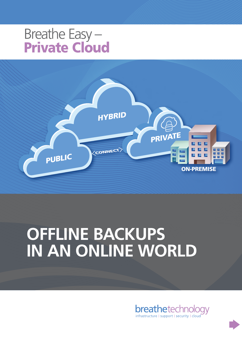### Breathe Easy – Private Cloud



## **OFFLINE BACKUPS IN AN ONLINE WORLD**

**breathetechnology** infrastructure | support | security | cloud

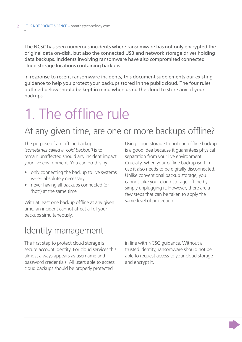The NCSC has seen numerous incidents where ransomware has not only encrypted the original data on-disk, but also the connected USB and network storage drives holding data backups. Incidents involving ransomware have also compromised connected cloud storage locations containing backups.

In response to recent ransomware incidents, this document supplements our existing guidance to help you protect your backups stored in the public cloud. The four rules outlined below should be kept in mind when using the cloud to store any of your backups.

### 1. The offline rule

#### At any given time, are one or more backups offline?

The purpose of an 'offline backup' *(sometimes called a 'cold backup')* is to remain unaffected should any incident impact your live environment. You can do this by:

- only connecting the backup to live systems when absolutely necessary
- never having all backups connected (or 'hot') at the same time

With at least one backup offline at any given time, an incident cannot affect all of your backups simultaneously.

Using cloud storage to hold an offline backup is a good idea because it guarantees physical separation from your live environment. Crucially, when your offline backup isn't in use it also needs to be digitally disconnected. Unlike conventional backup storage, you cannot take your cloud storage offline by simply unplugging it. However, there are a few steps that can be taken to apply the same level of protection.

#### Identity management

The first step to protect cloud storage is secure account identity. For cloud services this almost always appears as username and password credentials. All users able to access cloud backups should be properly protected

in line with NCSC guidance. Without a trusted identity, ransomware should not be able to request access to your cloud storage and encrypt it.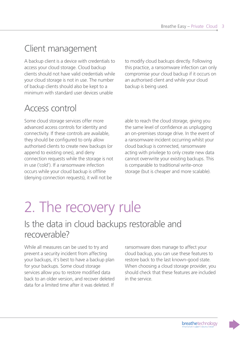#### Client management

A backup client is a device with credentials to access your cloud storage. Cloud backup clients should not have valid credentials while your cloud storage is not in use. The number of backup clients should also be [kept to a](https://www.ncsc.gov.uk/collection/10-steps-to-cyber-security/the-10-steps/managing-user-privileges)  [minimum](https://www.ncsc.gov.uk/collection/10-steps-to-cyber-security/the-10-steps/managing-user-privileges) with standard user devices unable

Access control

Some cloud storage services offer more advanced access controls for identity and connectivity. If these controls are available, they should be configured to only allow authorised clients to create new backups (or append to existing ones), and deny connection requests while the storage is not in use ('cold'). If a ransomware infection occurs while your cloud backup is offline (denying connection requests), it will not be

to modify cloud backups directly. Following this practice, a ransomware infection can only compromise your cloud backup if it occurs on an authorised client and while your cloud backup is being used.

able to reach the cloud storage, giving you the same level of confidence as unplugging an on-premises storage drive. In the event of a ransomware incident occurring whilst your cloud backup is connected, ransomware acting with privilege to only create new data cannot overwrite your existing backups. This is comparable to traditional write-once storage (but is cheaper and more scalable).

### 2. The recovery rule

#### Is the data in cloud backups restorable and recoverable?

While all measures can be used to try and prevent a security incident from affecting your backups, it's best to have a backup plan for your backups. Some cloud storage services allow you to restore modified data back to an older version, and recover deleted data for a limited time after it was deleted. If

ransomware does manage to affect your cloud backup, you can use these features to restore back to the last known-good state. When choosing a cloud storage provider, you should check that these features are included in the service.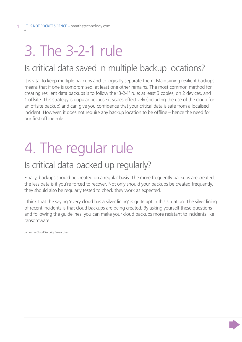### 3. The 3-2-1 rule

#### Is critical data saved in multiple backup locations?

It is vital to keep multiple backups and to logically separate them. Maintaining resilient backups means that if one is compromised, at least one other remains. The most common method for creating resilient data backups is to follow the '3-2-1' rule; at least 3 copies, on 2 devices, and 1 offsite. This strategy is popular because it scales effectively (including the use of the cloud for an offsite backup) and can give you confidence that your critical data is safe from a localised incident. However, it does not require any backup location to be offline – hence the need for our first offline rule.

### 4. The regular rule

#### Is critical data backed up regularly?

Finally, backups should be created on a regular basis. The more frequently backups are created, the less data is if you're forced to recover. Not only should your backups be created frequently, they should also be regularly tested to check they work as expected.

I think that the saying 'every cloud has a silver lining' is quite apt in this situation. The silver lining of recent incidents is that cloud backups are being created. By asking yourself these questions and following the guidelines, you can make your cloud backups more resistant to incidents like ransomware.

James L – Cloud Security Researcher